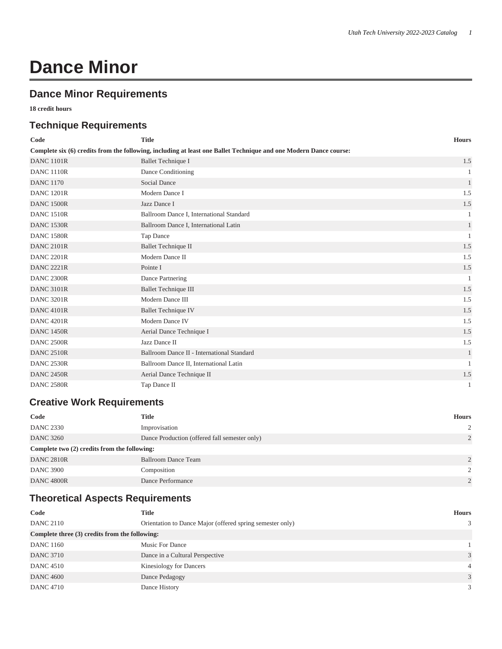# **Dance Minor**

### **Dance Minor Requirements**

**18 credit hours**

#### **Technique Requirements**

| Code                                                                                                              | <b>Title</b>                               | <b>Hours</b> |  |  |
|-------------------------------------------------------------------------------------------------------------------|--------------------------------------------|--------------|--|--|
| Complete six (6) credits from the following, including at least one Ballet Technique and one Modern Dance course: |                                            |              |  |  |
| <b>DANC 1101R</b>                                                                                                 | <b>Ballet Technique I</b>                  | 1.5          |  |  |
| <b>DANC 1110R</b>                                                                                                 | Dance Conditioning                         | 1            |  |  |
| <b>DANC 1170</b>                                                                                                  | Social Dance                               | $\mathbf{1}$ |  |  |
| <b>DANC 1201R</b>                                                                                                 | Modern Dance I                             | 1.5          |  |  |
| <b>DANC 1500R</b>                                                                                                 | Jazz Dance I                               | 1.5          |  |  |
| <b>DANC 1510R</b>                                                                                                 | Ballroom Dance I, International Standard   |              |  |  |
| <b>DANC 1530R</b>                                                                                                 | Ballroom Dance I, International Latin      | $\mathbf{1}$ |  |  |
| <b>DANC 1580R</b>                                                                                                 | Tap Dance                                  |              |  |  |
| <b>DANC 2101R</b>                                                                                                 | <b>Ballet Technique II</b>                 | 1.5          |  |  |
| <b>DANC 2201R</b>                                                                                                 | Modern Dance II                            | 1.5          |  |  |
| <b>DANC 2221R</b>                                                                                                 | Pointe I                                   | 1.5          |  |  |
| <b>DANC 2300R</b>                                                                                                 | Dance Partnering                           | $\mathbf{1}$ |  |  |
| <b>DANC 3101R</b>                                                                                                 | <b>Ballet Technique III</b>                | 1.5          |  |  |
| <b>DANC 3201R</b>                                                                                                 | Modern Dance III                           | 1.5          |  |  |
| <b>DANC 4101R</b>                                                                                                 | <b>Ballet Technique IV</b>                 | 1.5          |  |  |
| <b>DANC 4201R</b>                                                                                                 | Modern Dance IV                            | 1.5          |  |  |
| <b>DANC 1450R</b>                                                                                                 | Aerial Dance Technique I                   | 1.5          |  |  |
| <b>DANC 2500R</b>                                                                                                 | Jazz Dance II                              | 1.5          |  |  |
| <b>DANC 2510R</b>                                                                                                 | Ballroom Dance II - International Standard | $\mathbf{1}$ |  |  |
| <b>DANC 2530R</b>                                                                                                 | Ballroom Dance II, International Latin     | $\mathbf{1}$ |  |  |
| <b>DANC 2450R</b>                                                                                                 | Aerial Dance Technique II                  | 1.5          |  |  |
| <b>DANC 2580R</b>                                                                                                 | Tap Dance II                               | $\mathbf{1}$ |  |  |

#### **Creative Work Requirements**

| Code                                         | <b>Title</b>                                  | <b>Hours</b>   |  |  |
|----------------------------------------------|-----------------------------------------------|----------------|--|--|
| <b>DANC 2330</b>                             | Improvisation                                 | 2              |  |  |
| <b>DANC 3260</b>                             | Dance Production (offered fall semester only) | $\overline{2}$ |  |  |
| Complete two (2) credits from the following: |                                               |                |  |  |
| <b>DANC 2810R</b>                            | <b>Ballroom Dance Team</b>                    | $\overline{2}$ |  |  |
| <b>DANC 3900</b>                             | Composition                                   | 2              |  |  |
| <b>DANC 4800R</b>                            | Dance Performance                             | $\mathcal{L}$  |  |  |

## **Theoretical Aspects Requirements**

| Code                                           | <b>Title</b>                                              | <b>Hours</b> |  |  |
|------------------------------------------------|-----------------------------------------------------------|--------------|--|--|
| <b>DANC 2110</b>                               | Orientation to Dance Major (offered spring semester only) | 3            |  |  |
| Complete three (3) credits from the following: |                                                           |              |  |  |
| <b>DANC 1160</b>                               | Music For Dance                                           |              |  |  |
| <b>DANC 3710</b>                               | Dance in a Cultural Perspective                           | 3            |  |  |
| <b>DANC</b> 4510                               | <b>Kinesiology for Dancers</b>                            | 4            |  |  |
| <b>DANC 4600</b>                               | Dance Pedagogy                                            | 3            |  |  |
| <b>DANC 4710</b>                               | Dance History                                             | 3            |  |  |